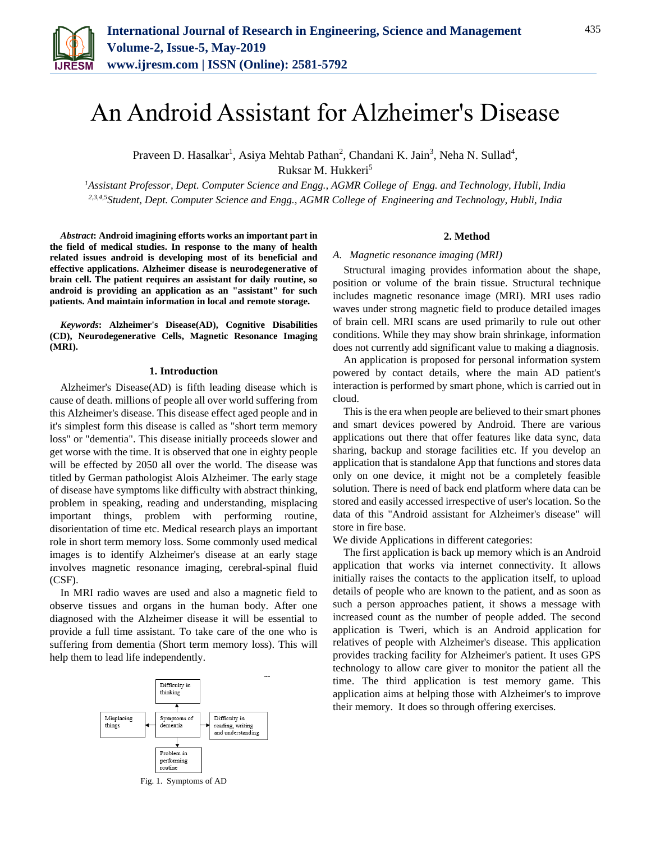

# An Android Assistant for Alzheimer's Disease

Praveen D. Hasalkar<sup>1</sup>, Asiya Mehtab Pathan<sup>2</sup>, Chandani K. Jain<sup>3</sup>, Neha N. Sullad<sup>4</sup>, Ruksar M. Hukkeri<sup>5</sup>

*<sup>1</sup>Assistant Professor, Dept. Computer Science and Engg., AGMR College of Engg. and Technology, Hubli, India 2,3,4,5Student, Dept. Computer Science and Engg., AGMR College of Engineering and Technology, Hubli, India*

*Abstract***: Android imagining efforts works an important part in the field of medical studies. In response to the many of health related issues android is developing most of its beneficial and effective applications. Alzheimer disease is neurodegenerative of brain cell. The patient requires an assistant for daily routine, so android is providing an application as an "assistant" for such patients. And maintain information in local and remote storage.** 

*Keywords***: Alzheimer's Disease(AD), Cognitive Disabilities (CD), Neurodegenerative Cells, Magnetic Resonance Imaging (MRI).**

## **1. Introduction**

Alzheimer's Disease(AD) is fifth leading disease which is cause of death. millions of people all over world suffering from this Alzheimer's disease. This disease effect aged people and in it's simplest form this disease is called as "short term memory loss" or "dementia". This disease initially proceeds slower and get worse with the time. It is observed that one in eighty people will be effected by 2050 all over the world. The disease was titled by German pathologist Alois Alzheimer. The early stage of disease have symptoms like difficulty with abstract thinking, problem in speaking, reading and understanding, misplacing important things, problem with performing routine, disorientation of time etc. Medical research plays an important role in short term memory loss. Some commonly used medical images is to identify Alzheimer's disease at an early stage involves magnetic resonance imaging, cerebral-spinal fluid (CSF).

In MRI radio waves are used and also a magnetic field to observe tissues and organs in the human body. After one diagnosed with the Alzheimer disease it will be essential to provide a full time assistant. To take care of the one who is suffering from dementia (Short term memory loss). This will help them to lead life independently.



Fig. 1. Symptoms of AD

## **2. Method**

#### *A. Magnetic resonance imaging (MRI)*

Structural imaging provides information about the shape, position or volume of the brain tissue. Structural technique includes magnetic resonance image (MRI). MRI uses radio waves under strong magnetic field to produce detailed images of brain cell. MRI scans are used primarily to rule out other conditions. While they may show brain shrinkage, information does not currently add significant value to making a diagnosis.

An application is proposed for personal information system powered by contact details, where the main AD patient's interaction is performed by smart phone, which is carried out in cloud.

This is the era when people are believed to their smart phones and smart devices powered by Android. There are various applications out there that offer features like data sync, data sharing, backup and storage facilities etc. If you develop an application that is standalone App that functions and stores data only on one device, it might not be a completely feasible solution. There is need of back end platform where data can be stored and easily accessed irrespective of user's location. So the data of this "Android assistant for Alzheimer's disease" will store in fire base.

We divide Applications in different categories:

The first application is back up memory which is an Android application that works via internet connectivity. It allows initially raises the contacts to the application itself, to upload details of people who are known to the patient, and as soon as such a person approaches patient, it shows a message with increased count as the number of people added. The second application is Tweri, which is an Android application for relatives of people with Alzheimer's disease. This application provides tracking facility for Alzheimer's patient. It uses GPS technology to allow care giver to monitor the patient all the time. The third application is test memory game. This application aims at helping those with Alzheimer's to improve their memory. It does so through offering exercises.